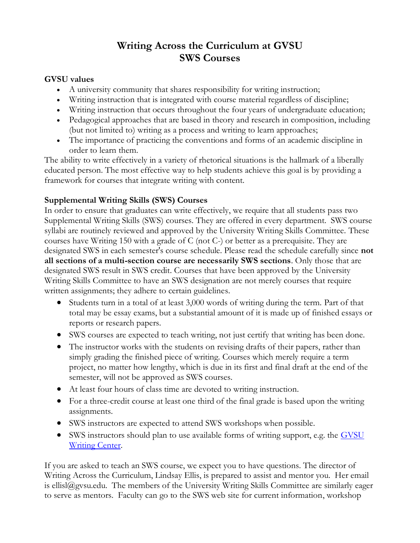# **Writing Across the Curriculum at GVSU SWS Courses**

#### **GVSU values**

- A university community that shares responsibility for writing instruction;
- Writing instruction that is integrated with course material regardless of discipline;
- Writing instruction that occurs throughout the four years of undergraduate education;
- Pedagogical approaches that are based in theory and research in composition, including (but not limited to) writing as a process and writing to learn approaches;
- The importance of practicing the conventions and forms of an academic discipline in order to learn them.

The ability to write effectively in a variety of rhetorical situations is the hallmark of a liberally educated person. The most effective way to help students achieve this goal is by providing a framework for courses that integrate writing with content.

## **Supplemental Writing Skills (SWS) Courses**

In order to ensure that graduates can write effectively, we require that all students pass two Supplemental Writing Skills (SWS) courses. They are offered in every department. SWS course syllabi are routinely reviewed and approved by the University Writing Skills Committee. These courses have Writing 150 with a grade of C (not C-) or better as a prerequisite. They are designated SWS in each semester's course schedule. Please read the schedule carefully since **not all sections of a multi-section course are necessarily SWS sections**. Only those that are designated SWS result in SWS credit. Courses that have been approved by the University Writing Skills Committee to have an SWS designation are not merely courses that require written assignments; they adhere to certain guidelines.

- Students turn in a total of at least 3,000 words of writing during the term. Part of that total may be essay exams, but a substantial amount of it is made up of finished essays or reports or research papers.
- SWS courses are expected to teach writing, not just certify that writing has been done.
- The instructor works with the students on revising drafts of their papers, rather than simply grading the finished piece of writing. Courses which merely require a term project, no matter how lengthy, which is due in its first and final draft at the end of the semester, will not be approved as SWS courses.
- At least four hours of class time are devoted to writing instruction.
- For a three-credit course at least one third of the final grade is based upon the writing assignments.
- SWS instructors are expected to attend SWS workshops when possible.
- SWS instructors should plan to use available forms of writing support, e.g. the GVSU [Writing Center.](http://www.gvsu.edu/wc/)

If you are asked to teach an SWS course, we expect you to have questions. The director of Writing Across the Curriculum, Lindsay Ellis, is prepared to assist and mentor you. Her email is ellisl@gvsu.edu. The members of the University Writing Skills Committee are similarly eager to serve as mentors. Faculty can go to the SWS web site for current information, workshop